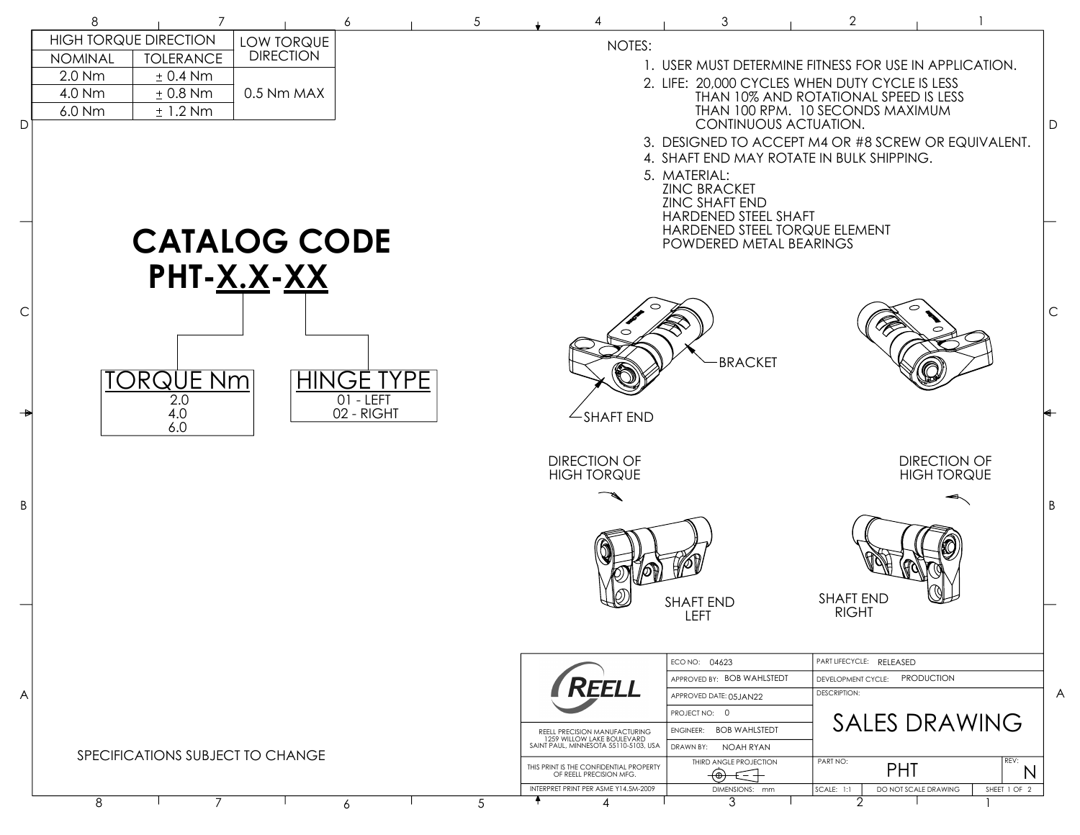|    | 8                                | $\overline{7}$               |                     | 6                 | $\sqrt{5}$                            |                                                                    | 3                                              | $\overline{2}$                                                            |                                                        |
|----|----------------------------------|------------------------------|---------------------|-------------------|---------------------------------------|--------------------------------------------------------------------|------------------------------------------------|---------------------------------------------------------------------------|--------------------------------------------------------|
|    |                                  | <b>HIGH TORQUE DIRECTION</b> | LOW TORQUE          |                   |                                       | NOTES:                                                             |                                                |                                                                           |                                                        |
|    | <b>NOMINAL</b>                   | <b>TOLERANCE</b>             | <b>DIRECTION</b>    |                   |                                       |                                                                    |                                                |                                                                           | 1. USER MUST DETERMINE FITNESS FOR USE IN APPLICATION. |
|    | 2.0 Nm<br>4.0 Nm                 | $± 0.4$ Nm<br>$± 0.8$ Nm     | 0.5 Nm MAX          |                   |                                       |                                                                    | 2. LIFE: 20,000 CYCLES WHEN DUTY CYCLE IS LESS |                                                                           |                                                        |
|    | 6.0 Nm                           | ± 1.2 Nm                     |                     |                   |                                       |                                                                    |                                                | THAN 10% AND ROTATIONAL SPEED IS LESS<br>THAN 100 RPM. 10 SECONDS MAXIMUM |                                                        |
| D. |                                  |                              |                     |                   |                                       |                                                                    |                                                | CONTINUOUS ACTUATION.                                                     |                                                        |
|    |                                  |                              |                     |                   |                                       |                                                                    | 4. SHAFT END MAY ROTATE IN BULK SHIPPING.      |                                                                           | 3. DESIGNED TO ACCEPT M4 OR #8 SCREW OR EQUIVALENT.    |
|    |                                  |                              |                     |                   |                                       |                                                                    | 5. MATERIAL:                                   |                                                                           |                                                        |
|    |                                  |                              |                     |                   |                                       |                                                                    | <b>ZINC BRACKET</b>                            |                                                                           |                                                        |
|    |                                  |                              |                     |                   |                                       |                                                                    | <b>ZINC SHAFT END</b><br>HARDENED STEEL SHAFT  |                                                                           |                                                        |
|    |                                  |                              | <b>CATALOG CODE</b> |                   |                                       |                                                                    | HARDENED STEEL TORQUE ELEMENT                  |                                                                           |                                                        |
|    |                                  |                              |                     |                   |                                       |                                                                    | POWDERED METAL BEARINGS                        |                                                                           |                                                        |
|    |                                  |                              | PHT- <u>X.X</u> -XX |                   |                                       |                                                                    |                                                |                                                                           |                                                        |
|    |                                  |                              |                     |                   |                                       |                                                                    |                                                |                                                                           |                                                        |
| С  |                                  |                              |                     |                   |                                       |                                                                    |                                                |                                                                           |                                                        |
|    |                                  |                              |                     |                   |                                       |                                                                    |                                                |                                                                           |                                                        |
|    |                                  |                              |                     |                   |                                       |                                                                    | <b>BRACKET</b>                                 |                                                                           |                                                        |
|    |                                  | <u>TORQUE Nm</u>             |                     | <b>HINGE TYPE</b> |                                       |                                                                    |                                                |                                                                           |                                                        |
|    |                                  | 2.0                          |                     | $01 - LEFT$       |                                       |                                                                    |                                                |                                                                           |                                                        |
|    |                                  | 4.0<br>6.0                   |                     | 02 - RIGHT        |                                       | $\angle$ SHAFT END                                                 |                                                |                                                                           |                                                        |
|    |                                  |                              |                     |                   |                                       |                                                                    |                                                |                                                                           |                                                        |
|    |                                  |                              |                     |                   |                                       | <b>DIRECTION OF</b>                                                |                                                |                                                                           | <b>DIRECTION OF</b>                                    |
|    |                                  |                              |                     |                   |                                       | <b>HIGH TORQUE</b>                                                 |                                                |                                                                           | <b>HIGH TORQUE</b>                                     |
| B  |                                  |                              |                     |                   |                                       |                                                                    |                                                |                                                                           |                                                        |
|    |                                  |                              |                     |                   |                                       |                                                                    |                                                |                                                                           |                                                        |
|    |                                  |                              |                     |                   |                                       |                                                                    |                                                |                                                                           |                                                        |
|    |                                  |                              |                     |                   |                                       |                                                                    |                                                |                                                                           |                                                        |
|    |                                  |                              |                     |                   |                                       |                                                                    |                                                | <b>SHAFT END</b>                                                          |                                                        |
|    |                                  |                              |                     |                   |                                       |                                                                    | <b>SHAFT END</b><br>LEFT                       | <b>RIGHT</b>                                                              |                                                        |
|    |                                  |                              |                     |                   |                                       |                                                                    |                                                |                                                                           |                                                        |
|    |                                  |                              |                     |                   |                                       |                                                                    |                                                |                                                                           |                                                        |
|    |                                  |                              |                     |                   |                                       |                                                                    | ECO NO: 04623<br>APPROVED BY: BOB WAHLSTEDT    | PART LIFECYCLE: RELEASED                                                  | DEVELOPMENT CYCLE: PRODUCTION                          |
| A  |                                  |                              |                     |                   |                                       | REELL                                                              | APPROVED DATE: 05JAN22                         | <b>DESCRIPTION:</b>                                                       |                                                        |
|    |                                  |                              |                     |                   |                                       |                                                                    | PROJECT NO: 0                                  |                                                                           | <b>SALES DRAWING</b>                                   |
|    |                                  |                              |                     |                   |                                       | REELL PRECISION MANUFACTURING<br>1259 WILLOW LAKE BOULEVARD        | ENGINEER: BOB WAHLSTEDT                        |                                                                           |                                                        |
|    | SPECIFICATIONS SUBJECT TO CHANGE |                              |                     |                   | SAINT PAUL, MINNESOTA 55110-5103, USA | NOAH RYAN<br>DRAWN BY:<br>THIRD ANGLE PROJECTION                   | PART NO:                                       | REV:                                                                      |                                                        |
|    |                                  |                              |                     |                   |                                       | THIS PRINT IS THE CONFIDENTIAL PROPERTY<br>OF REELL PRECISION MFG. | $\circledast$<br>€                             |                                                                           | <b>PHT</b><br>N                                        |
|    | 8                                | 7                            |                     | 6                 | 5                                     | INTERPRET PRINT PER ASME Y14.5M-2009<br>⊿                          | DIMENSIONS: mm<br>3                            | SCALE: 1:1<br>2                                                           | DO NOT SCALE DRAWING<br>SHEET 1 OF 2                   |